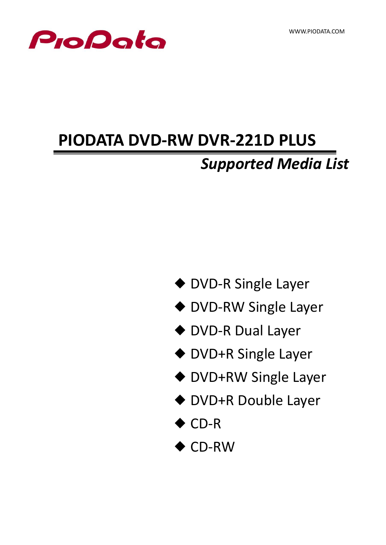

# **PIODATA DVD-RW DVR-221D PLUS**

## *Supported Media List*

- ◆ DVD-R Single Layer
- ◆ DVD-RW Single Layer
- ◆ DVD-R Dual Layer
- ◆ DVD+R Single Layer
- ◆ DVD+RW Single Layer
- ◆ DVD+R Double Layer
- ◆ CD-R
- ◆ CD-RW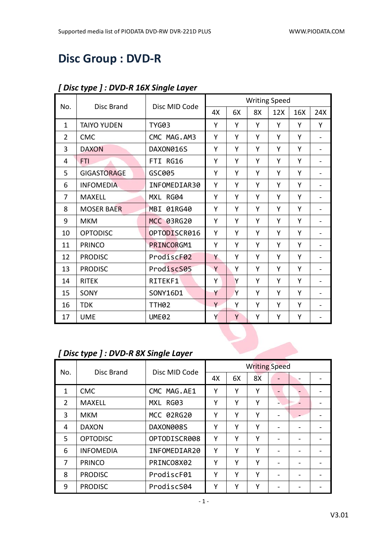## **Disc Group : DVD-R**

|                |                    |                   |    |    |    | <b>Writing Speed</b> |     |                              |
|----------------|--------------------|-------------------|----|----|----|----------------------|-----|------------------------------|
| No.            | <b>Disc Brand</b>  | Disc MID Code     | 4X | 6X | 8X | 12X                  | 16X | 24X                          |
| $\mathbf{1}$   | <b>TAIYO YUDEN</b> | <b>TYG03</b>      | Υ  | Y  | Y  | Y                    | Y   | Y                            |
| $\overline{2}$ | <b>CMC</b>         | CMC MAG.AM3       | Υ  | Υ  | Υ  | Υ                    | Y   |                              |
| 3              | <b>DAXON</b>       | DAXON016S         | Υ  | Y  | Υ  | Y                    | Y   | $\qquad \qquad \blacksquare$ |
| 4              | <b>FTI</b>         | FTI RG16          | Υ  | Υ  | Υ  | Υ                    | Y   | $\overline{\phantom{a}}$     |
| 5              | <b>GIGASTORAGE</b> | GSC005            | Υ  | Y  | Υ  | Υ                    | Y   |                              |
| 6              | <b>INFOMEDIA</b>   | INFOMEDIAR30      | Y  | Υ  | Υ  | Υ                    | Y   | $\blacksquare$               |
| 7              | <b>MAXELL</b>      | MXL RG04          | Y  | Y  | Y  | Υ                    | Y   | -                            |
| 8              | <b>MOSER BAER</b>  | MBI 01RG40        | Υ  | Y  | Υ  | Υ                    | Y   |                              |
| 9              | <b>MKM</b>         | MCC 03RG20        | Y  | Y  | Υ  | Υ                    | Y   |                              |
| 10             | <b>OPTODISC</b>    | OPTODISCR016      | Υ  | Υ  | Υ  | Y                    | Y   | $\blacksquare$               |
| 11             | <b>PRINCO</b>      | PRINCORGM1        | Υ  | Y  | Υ  | Υ                    | Y   |                              |
| 12             | <b>PRODISC</b>     | ProdiscF02        | Y  | Y  | Υ  | Υ                    | Y   |                              |
| 13             | <b>PRODISC</b>     | ProdiscS05        | Y  | Υ  | Υ  | Υ                    | Y   | $\overline{\phantom{0}}$     |
| 14             | <b>RITEK</b>       | RITEKF1           | Y  | Y  | Y  | Y                    | Y   | -                            |
| 15             | SONY               | SONY16D1          | Y  | Y  | Υ  | Υ                    | Y   |                              |
| 16             | <b>TDK</b>         | TTH <sub>02</sub> | Y  | Υ  | Υ  | Υ                    | Y   |                              |
| 17             | <b>UME</b>         | <b>UME02</b>      | Y  | Y  | Y  | Υ                    | Υ   |                              |

#### *[ Disc type ] : DVD-R 16X Single Layer*

#### *[ Disc type ] : DVD-R 8X Single Layer*

|     |                  | Disc MID Code | <b>Writing Speed</b> |    |    |                          |  |  |
|-----|------------------|---------------|----------------------|----|----|--------------------------|--|--|
| No. | Disc Brand       |               | 4X                   | 6X | 8X |                          |  |  |
| 1   | <b>CMC</b>       | CMC MAG.AE1   | Υ                    | Υ  | Υ  |                          |  |  |
| 2   | <b>MAXELL</b>    | MXL RG03      | Υ                    | Υ  | Υ  |                          |  |  |
| 3   | <b>MKM</b>       | MCC 02RG20    | Υ                    | Υ  | Υ  |                          |  |  |
| 4   | <b>DAXON</b>     | DAXON008S     | Υ                    | Υ  | Υ  |                          |  |  |
| 5.  | <b>OPTODISC</b>  | OPTODISCR008  | Υ                    | γ  | Υ  | $\overline{\phantom{0}}$ |  |  |
| 6   | <b>INFOMEDIA</b> | INFOMEDIAR20  | Υ                    | Υ  | Υ  |                          |  |  |
| 7   | <b>PRINCO</b>    | PRINCO8X02    | Υ                    | Υ  | Υ  |                          |  |  |
| 8   | <b>PRODISC</b>   | ProdiscF01    | Υ                    | γ  | Υ  |                          |  |  |
| 9   | <b>PRODISC</b>   | ProdiscS04    | Υ                    | Υ  | Υ  |                          |  |  |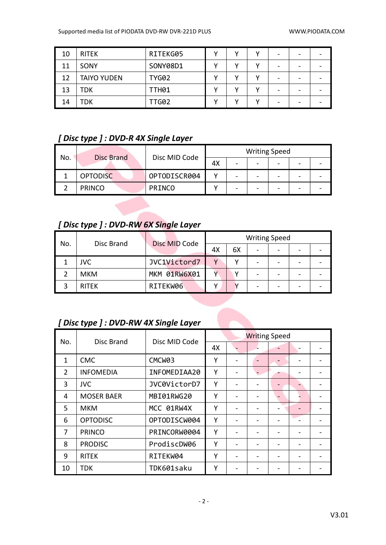| 10 | <b>RITEK</b>       | RITEKG05     | v | v | - |  |
|----|--------------------|--------------|---|---|---|--|
| 11 | SONY               | SONY08D1     |   |   | - |  |
| 12 | <b>TAIYO YUDEN</b> | <b>TYG02</b> |   |   | - |  |
| 13 | TDK                | TTH01        |   |   | - |  |
| 14 | TDK                | TTG02        |   |   | - |  |

#### *[ Disc type ] : DVD-R 4X Single Layer*

| No. |                   | Disc MID Code |    | <b>Writing Speed</b> |                          |  |
|-----|-------------------|---------------|----|----------------------|--------------------------|--|
|     | <b>Disc Brand</b> |               | 4Х |                      | $\overline{\phantom{0}}$ |  |
|     | <b>OPTODISC</b>   | OPTODISCR004  |    |                      | -                        |  |
|     | <b>PRINCO</b>     | <b>PRINCO</b> |    |                      | -                        |  |

### *[ Disc type ] : DVD-RW 6X Single Layer*

| No. |              | Disc MID Code |              |    | <b>Writing Speed</b>     |   |  |
|-----|--------------|---------------|--------------|----|--------------------------|---|--|
|     | Disc Brand   |               | 4Х           | 6X | $\overline{\phantom{0}}$ |   |  |
|     | <b>JVC</b>   | JVC1Victord7  | $\mathbf{v}$ |    |                          |   |  |
|     | <b>MKM</b>   | MKM 01RW6X01  |              |    |                          |   |  |
|     | <b>RITEK</b> | RITEKW06      |              |    |                          | - |  |

#### *[ Disc type ] : DVD-RW 4X Single Layer*

| No. | Disc Brand        | Disc MID Code | <b>Writing Speed</b> |  |  |  |  |  |
|-----|-------------------|---------------|----------------------|--|--|--|--|--|
|     |                   |               | 4X                   |  |  |  |  |  |
| 1   | <b>CMC</b>        | CMCW03        | Υ                    |  |  |  |  |  |
| 2   | <b>INFOMEDIA</b>  | INFOMEDIAA20  | Υ                    |  |  |  |  |  |
| 3   | <b>JVC</b>        | JVC0VictorD7  | Υ                    |  |  |  |  |  |
| 4   | <b>MOSER BAER</b> | MBI01RWG20    | Y                    |  |  |  |  |  |
| 5   | <b>MKM</b>        | MCC 01RW4X    | Y                    |  |  |  |  |  |
| 6   | <b>OPTODISC</b>   | OPTODISCW004  | Υ                    |  |  |  |  |  |
| 7   | <b>PRINCO</b>     | PRINCORW0004  | Υ                    |  |  |  |  |  |
| 8   | <b>PRODISC</b>    | ProdiscDW06   | Υ                    |  |  |  |  |  |
| 9   | <b>RITEK</b>      | RITEKW04      | Υ                    |  |  |  |  |  |
| 10  | <b>TDK</b>        | TDK601saku    | Υ                    |  |  |  |  |  |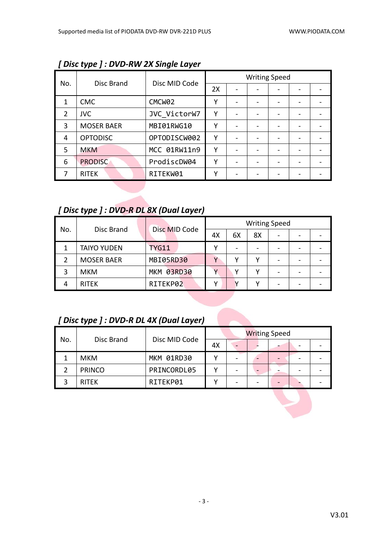|                |                   |                    | <b>Writing Speed</b> |  |  |  |  |  |
|----------------|-------------------|--------------------|----------------------|--|--|--|--|--|
| No.            | Disc Brand        | Disc MID Code      | 2X                   |  |  |  |  |  |
| 1              | <b>CMC</b>        | CMCW <sub>02</sub> | Υ                    |  |  |  |  |  |
| $\overline{2}$ | <b>JVC</b>        | JVC VictorW7       | Υ                    |  |  |  |  |  |
| 3              | <b>MOSER BAER</b> | MBI01RWG10         | Υ                    |  |  |  |  |  |
| 4              | <b>OPTODISC</b>   | OPTODISCW002       | γ                    |  |  |  |  |  |
| 5              | <b>MKM</b>        | MCC 01RW11n9       | Υ                    |  |  |  |  |  |
| 6              | <b>PRODISC</b>    | ProdiscDW04        | γ                    |  |  |  |  |  |
|                | <b>RITEK</b>      | RITEKW01           | γ                    |  |  |  |  |  |

*[ Disc type ] : DVD-RW 2X Single Layer*

#### *[ Disc type ] : DVD-R DL 8X (Dual Layer)*

| No. | Disc Brand         | Disc MID Code |    |    | <b>Writing Speed</b> |                              |  |
|-----|--------------------|---------------|----|----|----------------------|------------------------------|--|
|     |                    |               | 4X | 6X | 8X                   | $\qquad \qquad \blacksquare$ |  |
|     | <b>TAIYO YUDEN</b> | <b>TYG11</b>  | v  |    |                      |                              |  |
|     | <b>MOSER BAER</b>  | MBI05RD30     |    |    |                      | $\overline{\phantom{0}}$     |  |
| 3   | MKM                | MKM 03RD30    |    |    |                      |                              |  |
|     | <b>RITEK</b>       | RITEKP02      | v  |    |                      | -                            |  |

#### *[ Disc type ] : DVD-R DL 4X (Dual Layer)*

| No. |               |               |    | <b>Writing Speed</b> |  |  |
|-----|---------------|---------------|----|----------------------|--|--|
|     | Disc Brand    | Disc MID Code | 4X |                      |  |  |
|     | <b>MKM</b>    | MKM 01RD30    |    |                      |  |  |
|     | <b>PRINCO</b> | PRINCORDL05   |    |                      |  |  |
|     | <b>RITEK</b>  | RITEKP01      |    |                      |  |  |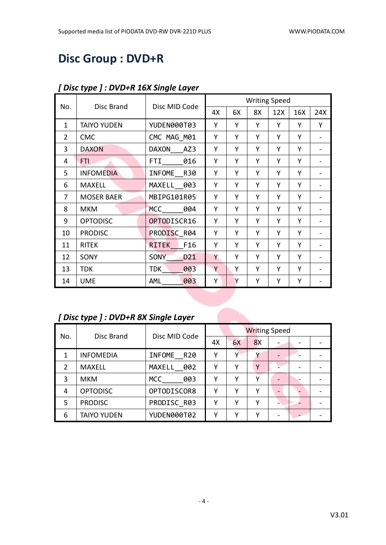## **Disc Group : DVD+R**

|                |                    | Disc MID Code      |    |    |    | <b>Writing Speed</b> |     |     |
|----------------|--------------------|--------------------|----|----|----|----------------------|-----|-----|
| No.            | Disc Brand         |                    | 4X | 6X | 8X | 12X                  | 16X | 24X |
| $\mathbf{1}$   | <b>TAIYO YUDEN</b> | YUDEN000T03        | Υ  | Υ  | Υ  | Y                    | Y   | Y   |
| $\overline{2}$ | <b>CMC</b>         | CMC MAG M01        | Υ  | Y  | Υ  | Υ                    | Y   |     |
| 3              | <b>DAXON</b>       | DAXON<br>AZ3       | Υ  | Υ  | Υ  | Υ                    | Y   |     |
| 4              | <b>FTI</b>         | <b>FTI</b><br>016  | Υ  | Y  | Υ  | Υ                    | Y   |     |
| 5              | <b>INFOMEDIA</b>   | INFOME R30         | Υ  | Y  | Υ  | Υ                    | Y   |     |
| 6              | <b>MAXELL</b>      | MAXELL 003         | Υ  | Y  | Υ  | Υ                    | Y   |     |
| $\overline{7}$ | <b>MOSER BAER</b>  | MBIPG101R05        | Υ  | Υ  | Y  | Υ                    | Y   |     |
| 8              | <b>MKM</b>         | <b>MCC</b><br>004  | Υ  | Y  | Υ  | Y                    | Y   |     |
| 9              | <b>OPTODISC</b>    | OPTODISCR16        | Υ  | Υ  | Υ  | Υ                    | Y   |     |
| 10             | <b>PRODISC</b>     | PRODISC R04        | Y  | Y  | Υ  | Y                    | Y   |     |
| 11             | <b>RITEK</b>       | F16<br>RITEK       | Υ  | Y  | Υ  | Υ                    | Y   |     |
| 12             | SONY               | D21<br><b>SONY</b> | Y  | Υ  | Υ  | Υ                    | Y   |     |
| 13             | <b>TDK</b>         | 003<br><b>TDK</b>  | Y  | Y  | Υ  | Υ                    | Y   |     |
| 14             | <b>UME</b>         | 003<br><b>AML</b>  | Υ  | Y  | Υ  | Υ                    | Υ   |     |

#### *[ Disc type ] : DVD+R 16X Single Layer*

# *[ Disc type ] : DVD+R 8X Single Layer*

| No.           |                    |               |    |    | <b>Writing Speed</b> |  |  |
|---------------|--------------------|---------------|----|----|----------------------|--|--|
|               | Disc Brand         | Disc MID Code | 4Х | 6X | 8X                   |  |  |
|               | <b>INFOMEDIA</b>   | INFOME R20    | γ  | ν  |                      |  |  |
| $\mathcal{P}$ | <b>MAXELL</b>      | MAXELL 002    | ٧  | v  | Υ                    |  |  |
| 3             | <b>MKM</b>         | MCC<br>003    | γ  | ν  |                      |  |  |
| 4             | <b>OPTODISC</b>    | OPTODISCOR8   | γ  | ν  | ν                    |  |  |
| 5             | <b>PRODISC</b>     | PRODISC R03   | γ  | ν  | ٧                    |  |  |
| 6             | <b>TAIYO YUDEN</b> | YUDEN000T02   | v  | ν  | ν                    |  |  |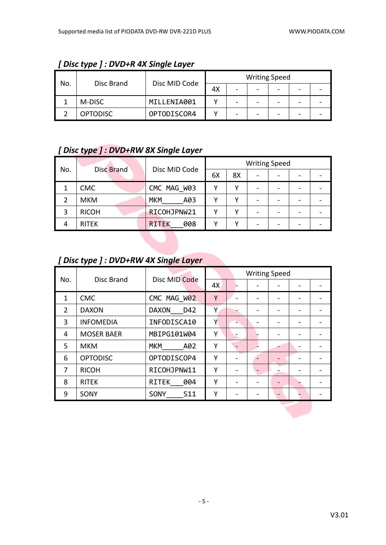| No. |                 |               |    | <b>Writing Speed</b> |  |  |
|-----|-----------------|---------------|----|----------------------|--|--|
|     | Disc Brand      | Disc MID Code | 4X | -                    |  |  |
|     | M-DISC          | MILLENIA001   |    | -                    |  |  |
|     | <b>OPTODISC</b> | OPTODISCOR4   |    |                      |  |  |

#### *[ Disc type ] : DVD+R 4X Single Layer*

#### *[ Disc type ] : DVD+RW 8X Single Layer*

| No. | <b>Disc Brand</b> | Disc MID Code       | <b>Writing Speed</b> |    |  |  |  |  |
|-----|-------------------|---------------------|----------------------|----|--|--|--|--|
|     |                   |                     | 6X                   | 8X |  |  |  |  |
|     | <b>CMC</b>        | CMC MAG W03         |                      | v  |  |  |  |  |
|     | <b>MKM</b>        | <b>MKM</b><br>A03   |                      |    |  |  |  |  |
| 3   | <b>RICOH</b>      | RICOHJPNW21         |                      |    |  |  |  |  |
| 4   | <b>RITEK</b>      | 008<br><b>RITEK</b> |                      |    |  |  |  |  |

#### *[ Disc type ] : DVD+RW 4X Single Layer*

| No.            | Disc Brand        | Disc MID Code       |    |  | <b>Writing Speed</b> |  |
|----------------|-------------------|---------------------|----|--|----------------------|--|
|                |                   |                     | 4X |  |                      |  |
| $\mathbf{1}$   | <b>CMC</b>        | CMC MAG W02         | Υ  |  |                      |  |
| $\overline{2}$ | <b>DAXON</b>      | <b>DAXON</b><br>D42 | Υ  |  |                      |  |
| 3              | <b>INFOMEDIA</b>  | INFODISCA10         | Υ  |  |                      |  |
| 4              | <b>MOSER BAER</b> | MBIPG101W04         | Υ  |  |                      |  |
| 5              | <b>MKM</b>        | <b>MKM</b><br>A02   | Y  |  |                      |  |
| 6              | <b>OPTODISC</b>   | OPTODISCOP4         | Υ  |  |                      |  |
| 7              | <b>RICOH</b>      | RICOHJPNW11         | Y  |  |                      |  |
| 8              | <b>RITEK</b>      | RITEK<br>004        | Y  |  |                      |  |
| 9              | SONY              | S11<br><b>SONY</b>  | Υ  |  |                      |  |
|                |                   |                     |    |  |                      |  |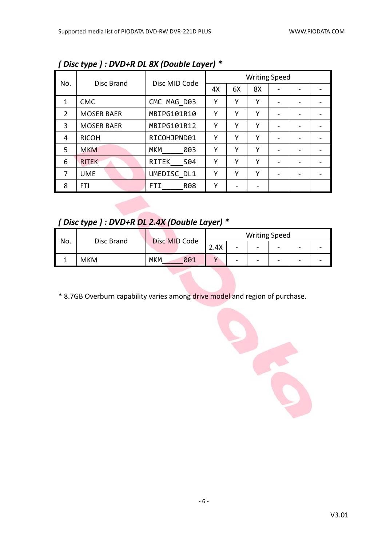|                | $\cdot$ r – $\cdot$ |                     |    |    |                      |                          |  |
|----------------|---------------------|---------------------|----|----|----------------------|--------------------------|--|
|                | Disc Brand          |                     |    |    | <b>Writing Speed</b> |                          |  |
| No.            |                     | Disc MID Code       | 4X | 6X | 8X                   |                          |  |
| 1              | <b>CMC</b>          | CMC MAG D03         | Υ  | Υ  | Υ                    |                          |  |
| $\overline{2}$ | <b>MOSER BAER</b>   | MBIPG101R10         | Υ  | Υ  | Υ                    |                          |  |
| 3              | <b>MOSER BAER</b>   | MBIPG101R12         | Υ  | Υ  | Υ                    |                          |  |
| 4              | <b>RICOH</b>        | RICOHJPND01         | Υ  | Υ  | Υ                    | $\overline{\phantom{0}}$ |  |
| 5              | <b>MKM</b>          | <b>MKM</b><br>003   | Υ  | Υ  | Υ                    | $\overline{\phantom{0}}$ |  |
| 6              | <b>RITEK</b>        | <b>RITEK</b><br>S04 | Υ  | Υ  | Υ                    |                          |  |
| 7              | <b>UME</b>          | UMEDISC DL1         | Υ  | Υ  | Υ                    |                          |  |
| 8              | <b>FTI</b>          | <b>R08</b><br>FTI   | Υ  |    |                      |                          |  |

*[ Disc type ] : DVD+R DL 8X (Double Layer) \**

*[ Disc type ] : DVD+R DL 2.4X (Double Layer) \**

| No. | Disc Brand | Disc MID Code     | <b>Writing Speed</b> |        |   |                          |   |  |  |
|-----|------------|-------------------|----------------------|--------|---|--------------------------|---|--|--|
|     |            |                   | 2.4X                 | $\sim$ | - | $\overline{\phantom{0}}$ | - |  |  |
|     | MKM        | <b>MKM</b><br>001 |                      | -      | - | -                        | - |  |  |

\* 8.7GB Overburn capability varies among drive model and region of purchase.

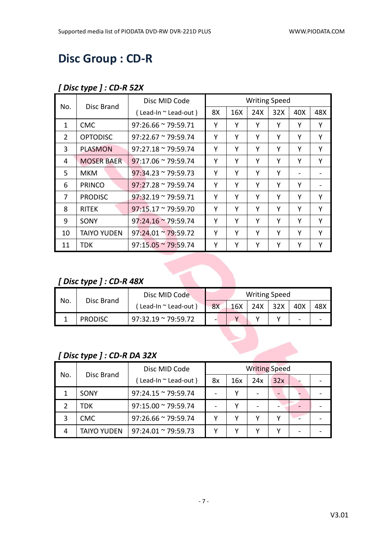## **Disc Group : CD-R**

#### *[ Disc type ] : CD-R 52X*

| No.            | Disc Brand         | Disc MID Code                   |    |     | <b>Writing Speed</b> |     |     |     |
|----------------|--------------------|---------------------------------|----|-----|----------------------|-----|-----|-----|
|                |                    | $($ Lead-In $\sim$ Lead-out $)$ | 8X | 16X | 24X                  | 32X | 40X | 48X |
| $\mathbf{1}$   | <b>CMC</b>         | $97:26.66 \approx 79:59.71$     | Y  | Υ   | Υ                    | Y   | Y   | Y   |
| $\overline{2}$ | <b>OPTODISC</b>    | $97:22.67 \approx 79:59.74$     | Υ  | Υ   | Υ                    | Υ   | Υ   | Y   |
| 3              | <b>PLASMON</b>     | $97:27.18 \approx 79:59.74$     | Υ  | Υ   | Υ                    | Υ   | Υ   | Y   |
| 4              | <b>MOSER BAER</b>  | $97:17.06 \approx 79:59.74$     | Υ  | Υ   | Υ                    | Y   | Y   | Y   |
| 5.             | МКМ                | $97:34.23 \approx 79:59.73$     | Y  | Υ   | Y                    | Y   |     |     |
| 6              | <b>PRINCO</b>      | $97:27.28 \approx 79:59.74$     | Υ  | Υ   | Υ                    | Υ   | Υ   |     |
| 7              | <b>PRODISC</b>     | $97:32.19 \approx 79:59.71$     | Υ  | Υ   | Υ                    | Υ   | Υ   | Υ   |
| 8              | <b>RITEK</b>       | $97:15.17 \approx 79:59.70$     | Υ  | Υ   | Υ                    | Υ   | Υ   | Y   |
| 9              | SONY               | $97:24.16 \approx 79:59.74$     | Y  | Υ   | Υ                    | Υ   | Υ   | Υ   |
| 10             | <b>TAIYO YUDEN</b> | $97:24.01 \approx 79:59.72$     | Υ  | Υ   | Y                    | Y   | Υ   | Υ   |
| 11             | <b>TDK</b>         | $97:15.05 \approx 79:59.74$     | Υ  | Υ   | Υ                    | Υ   | Y   | Y   |

#### *[ Disc type ] : CD-R 48X*

| No. |                | Disc MID Code               |    |     | <b>Writing Speed</b> |     |     |     |
|-----|----------------|-----------------------------|----|-----|----------------------|-----|-----|-----|
|     | Disc Brand     | l Lead-In ~ Lead-out        | 8X | 16X | 24X                  | 32X | 40X | 48X |
|     | <b>PRODISC</b> | $97:32.19 \approx 79:59.72$ |    |     |                      |     | -   |     |

#### *[ Disc type ] : CD-R DA 32X*

| No. | Disc Brand         | Disc MID Code               | <b>Writing Speed</b> |     |     |     |  |  |
|-----|--------------------|-----------------------------|----------------------|-----|-----|-----|--|--|
|     |                    | (Lead-In ~ Lead-out)        | 8x                   | 16x | 24x | 32x |  |  |
|     | SONY               | $97:24.15 \approx 79:59.74$ |                      |     |     |     |  |  |
|     | TDK                | $97:15.00 \approx 79:59.74$ |                      |     |     |     |  |  |
|     | <b>CMC</b>         | $97:26.66 \approx 79:59.74$ |                      |     |     |     |  |  |
| 4   | <b>TAIYO YUDEN</b> | $97:24.01 \approx 79:59.73$ |                      |     |     |     |  |  |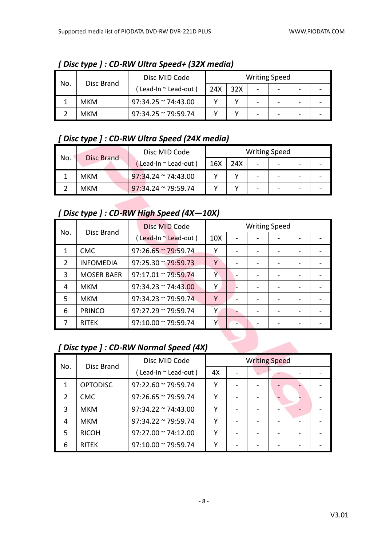|     |            | Disc MID Code               |     |     | <b>Writing Speed</b>     |  |  |
|-----|------------|-----------------------------|-----|-----|--------------------------|--|--|
| No. | Disc Brand | Lead-In $\sim$ Lead-out )   | 24X | 32X | $\overline{\phantom{a}}$ |  |  |
|     | <b>MKM</b> | $97:34.25 \approx 74:43.00$ |     |     | -                        |  |  |
|     | <b>MKM</b> | $97:34.25$ ~ 79:59.74       |     |     | -                        |  |  |

*[ Disc type ] : CD-RW Ultra Speed+ (32X media)*

#### *[ Disc type ] : CD-RW Ultra Speed (24X media)*

| No. | <b>Disc Brand</b> | Disc MID Code               |     |     | <b>Writing Speed</b> |   |  |
|-----|-------------------|-----------------------------|-----|-----|----------------------|---|--|
|     |                   | Lead-In ~ Lead-out)         | 16X | 24X | -                    | - |  |
|     | <b>MKM</b>        | $97:34.24 \approx 74:43.00$ |     |     | -                    |   |  |
|     | <b>MKM</b>        | $97:34.24 \approx 79:59.74$ |     |     | -                    |   |  |

#### *[ Disc type ] : CD-RW High Speed (4X—10X)*

|               |                   | Disc MID Code               |                 | <b>Writing Speed</b> |  |  |
|---------------|-------------------|-----------------------------|-----------------|----------------------|--|--|
| No.           | Disc Brand        | (Lead-In "Lead-out)         | 10 <sub>X</sub> |                      |  |  |
|               | <b>CMC</b>        | $97:26.65 \approx 79:59.74$ | v               |                      |  |  |
| $\mathcal{P}$ | <b>INFOMEDIA</b>  | $97:25.30 \approx 79:59.73$ | Y               |                      |  |  |
| 3             | <b>MOSER BAER</b> | $97:17.01 \approx 79:59.74$ | Υ               |                      |  |  |
| 4             | <b>MKM</b>        | $97:34.23 \approx 74:43.00$ | γ               |                      |  |  |
| 5             | <b>MKM</b>        | $97:34.23 \approx 79:59.74$ | Υ               |                      |  |  |
| 6             | <b>PRINCO</b>     | $97:27.29 \approx 79:59.74$ | Υ               |                      |  |  |
|               | <b>RITEK</b>      | 97:10.00 ~ 79:59.74         | Y               |                      |  |  |

#### *[ Disc type ] : CD-RW Normal Speed (4X)*

| No.           | Disc Brand      | Disc MID Code               | <b>Writing Speed</b> |  |  |  |  |
|---------------|-----------------|-----------------------------|----------------------|--|--|--|--|
|               |                 | (Lead-In ~ Lead-out)        | 4X                   |  |  |  |  |
| 1             | <b>OPTODISC</b> | $97:22.60 \approx 79:59.74$ | v                    |  |  |  |  |
| $\mathcal{P}$ | <b>CMC</b>      | $97:26.65 \approx 79:59.74$ | v                    |  |  |  |  |
| 3             | <b>MKM</b>      | $97:34.22 \approx 74:43.00$ | γ                    |  |  |  |  |
| 4             | <b>MKM</b>      | $97:34.22 \approx 79:59.74$ | γ                    |  |  |  |  |
| 5             | <b>RICOH</b>    | $97:27.00 \approx 74:12.00$ | γ                    |  |  |  |  |
| 6             | <b>RITEK</b>    | $97:10.00 \approx 79:59.74$ | v                    |  |  |  |  |